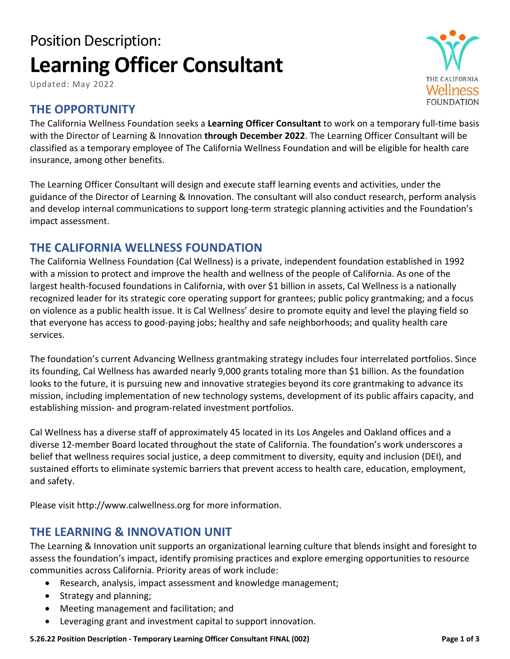# Position Description: **Learning Officer Consultant**

Updated: May 2022

# **THE OPPORTUNITY**

The California Wellness Foundation seeks a **Learning Officer Consultant** to work on a temporary full-time basis with the Director of Learning & Innovation **through December 2022**. The Learning Officer Consultant will be classified as a temporary employee of The California Wellness Foundation and will be eligible for health care insurance, among other benefits.

The Learning Officer Consultant will design and execute staff learning events and activities, under the guidance of the Director of Learning & Innovation. The consultant will also conduct research, perform analysis and develop internal communications to support long-term strategic planning activities and the Foundation's impact assessment.

## **THE CALIFORNIA WELLNESS FOUNDATION**

The California Wellness Foundation (Cal Wellness) is a private, independent foundation established in 1992 with a mission to protect and improve the health and wellness of the people of California. As one of the largest health-focused foundations in California, with over \$1 billion in assets, Cal Wellness is a nationally recognized leader for its strategic core operating support for grantees; public policy grantmaking; and a focus on violence as a public health issue. It is Cal Wellness' desire to promote equity and level the playing field so that everyone has access to good-paying jobs; healthy and safe neighborhoods; and quality health care services.

The foundation's current Advancing Wellness grantmaking strategy includes four interrelated portfolios. Since its founding, Cal Wellness has awarded nearly 9,000 grants totaling more than \$1 billion. As the foundation looks to the future, it is pursuing new and innovative strategies beyond its core grantmaking to advance its mission, including implementation of new technology systems, development of its public affairs capacity, and establishing mission- and program-related investment portfolios.

Cal Wellness has a diverse staff of approximately 45 located in its Los Angeles and Oakland offices and a diverse 12-member Board located throughout the state of California. The foundation's work underscores a belief that wellness requires social justice, a deep commitment to diversity, equity and inclusion (DEI), and sustained efforts to eliminate systemic barriers that prevent access to health care, education, employment, and safety.

Please visit http://www.calwellness.org for more information.

# **THE LEARNING & INNOVATION UNIT**

The Learning & Innovation unit supports an organizational learning culture that blends insight and foresight to assess the foundation's impact, identify promising practices and explore emerging opportunities to resource communities across California. Priority areas of work include:

- Research, analysis, impact assessment and knowledge management;
- Strategy and planning;
- Meeting management and facilitation; and
- Leveraging grant and investment capital to support innovation.

**5.26.22 Position Description - Temporary Learning Officer Consultant FINAL (002) Page 1 of 3**

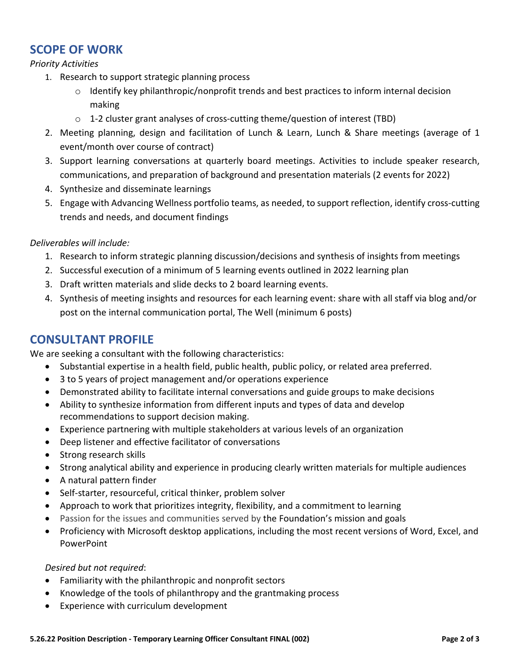# **SCOPE OF WORK**

#### *Priority Activities*

- 1. Research to support strategic planning process
	- o Identify key philanthropic/nonprofit trends and best practices to inform internal decision making
	- o 1-2 cluster grant analyses of cross-cutting theme/question of interest (TBD)
- 2. Meeting planning, design and facilitation of Lunch & Learn, Lunch & Share meetings (average of 1 event/month over course of contract)
- 3. Support learning conversations at quarterly board meetings. Activities to include speaker research, communications, and preparation of background and presentation materials (2 events for 2022)
- 4. Synthesize and disseminate learnings
- 5. Engage with Advancing Wellness portfolio teams, as needed, to support reflection, identify cross-cutting trends and needs, and document findings

#### *Deliverables will include:*

- 1. Research to inform strategic planning discussion/decisions and synthesis of insights from meetings
- 2. Successful execution of a minimum of 5 learning events outlined in [2022 learning plan](https://calwellness.box.com/s/xid7rylih9w8duemovpcgd8n62d404xq)
- 3. Draft written materials and slide decks to 2 board learning events.
- 4. Synthesis of meeting insights and resources for each learning event: share with all staff via blog and/or post on the internal communication portal, The Well (minimum 6 posts)

# **CONSULTANT PROFILE**

We are seeking a consultant with the following characteristics:

- Substantial expertise in a health field, public health, public policy, or related area preferred.
- 3 to 5 years of project management and/or operations experience
- Demonstrated ability to facilitate internal conversations and guide groups to make decisions
- Ability to synthesize information from different inputs and types of data and develop recommendations to support decision making.
- Experience partnering with multiple stakeholders at various levels of an organization
- Deep listener and effective facilitator of conversations
- Strong research skills
- Strong analytical ability and experience in producing clearly written materials for multiple audiences
- A natural pattern finder
- Self-starter, resourceful, critical thinker, problem solver
- Approach to work that prioritizes integrity, flexibility, and a commitment to learning
- Passion for the issues and communities served by the Foundation's mission and goals
- Proficiency with Microsoft desktop applications, including the most recent versions of Word, Excel, and PowerPoint

#### *Desired but not required*:

- Familiarity with the philanthropic and nonprofit sectors
- Knowledge of the tools of philanthropy and the grantmaking process
- Experience with curriculum development